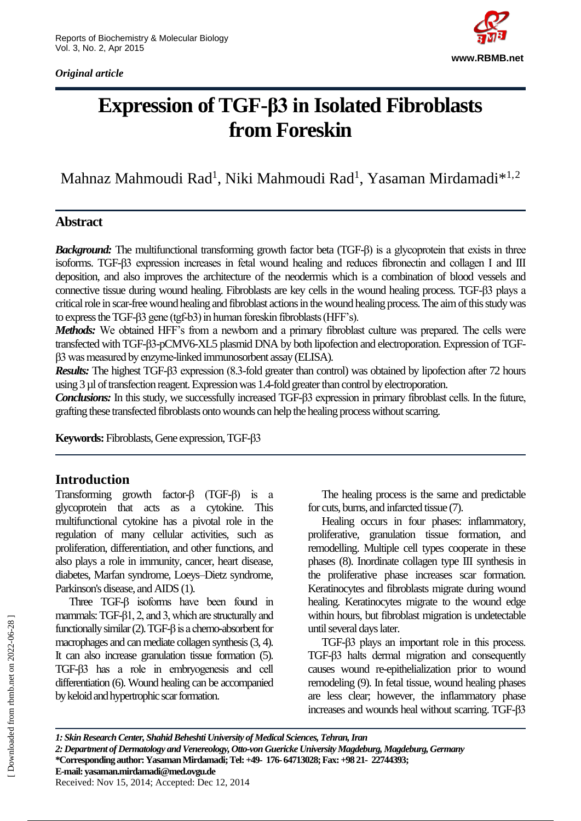*Original article*



# **Expression of TGF-β3 in Isolated Fibroblasts from Foreskin**

Mahnaz Mahmoudi Rad<sup>1</sup>, Niki Mahmoudi Rad<sup>1</sup>, Yasaman Mirdamadi $^{*1,2}$ 

# **Abstract**

*Background:* The multifunctional transforming growth factor beta (TGF-β) is a glycoprotein that exists in three isoforms. TGF-β3 expression increases in fetal wound healing and reduces fibronectin and collagen I and III deposition, and also improves the architecture of the neodermis which is a combination of blood vessels and connective tissue during wound healing. Fibroblasts are key cells in the wound healing process. TGF-β3 plays a critical role in scar-free wound healing and fibroblast actions in the wound healing process. The aim of this study was to express the TGF-β3 gene (tgf-b3) in human foreskin fibroblasts (HFF's).

*Methods:* We obtained HFF's from a newborn and a primary fibroblast culture was prepared. The cells were transfected with TGF-β3-pCMV6-XL5 plasmid DNA by both lipofection and electroporation. Expression of TGFβ3 was measured by enzyme-linked immunosorbent assay (ELISA).

*Results:* The highest TGF-β3 expression (8.3-fold greater than control) was obtained by lipofection after 72 hours using 3 µl of transfection reagent. Expression was 1.4-fold greater than control by electroporation.

*Conclusions:* In this study, we successfully increased TGF-β3 expression in primary fibroblast cells. In the future, grafting these transfected fibroblasts onto wounds can help the healing process without scarring.

**Keywords:**Fibroblasts,Gene expression,TGF-β3

# **Introduction**

Transforming growth factor-β (TGF-β) is a glycoprotein that acts as a cytokine. This multifunctional cytokine has a pivotal role in the regulation of many cellular activities, such as proliferation, differentiation, and other functions, and also plays a role in immunity, cancer, heart disease, diabetes, Marfan syndrome, Loeys–Dietz syndrome, Parkinson's disease, and AIDS (1).

Three TGF-β isoforms have been found in mammals: TGF-β1, 2, and 3, which are structurally and functionally similar (2). TGF-β is a chemo-absorbent for macrophages and can mediate collagen synthesis (3, 4). It can also increase granulation tissue formation (5). TGF-β3 has a role in embryogenesis and cell differentiation (6). Wound healing can be accompanied by keloid and hypertrophic scar formation.

The healing process is the same and predictable for cuts, burns, and infarcted tissue (7).

Healing occurs in four phases: inflammatory, proliferative, granulation tissue formation, and remodelling. Multiple cell types cooperate in these phases (8). Inordinate collagen type III synthesis in the proliferative phase increases scar formation. Keratinocytes and fibroblasts migrate during wound healing. Keratinocytes migrate to the wound edge within hours, but fibroblast migration is undetectable until several days later.

TGF-β3 plays an important role in this process. TGF-β3 halts dermal migration and consequently causes wound re-epithelialization prior to wound remodeling (9). In fetal tissue, wound healing phases are less clear; however, the inflammatory phase increases and wounds heal without scarring. TGF-β3

*1: Skin Research Center, Shahid Beheshti University of Medical Sciences, Tehran, Iran 2: Department of Dermatology and Venereology, Otto-von Guericke University Magdeburg, Magdeburg, Germany* **\*Corresponding author: Yasaman Mirdamadi;Tel:+49- 176- 64713028;Fax: +98 21- 22744393; E-mail: yasaman.mirdamadi@med.ovgu.de**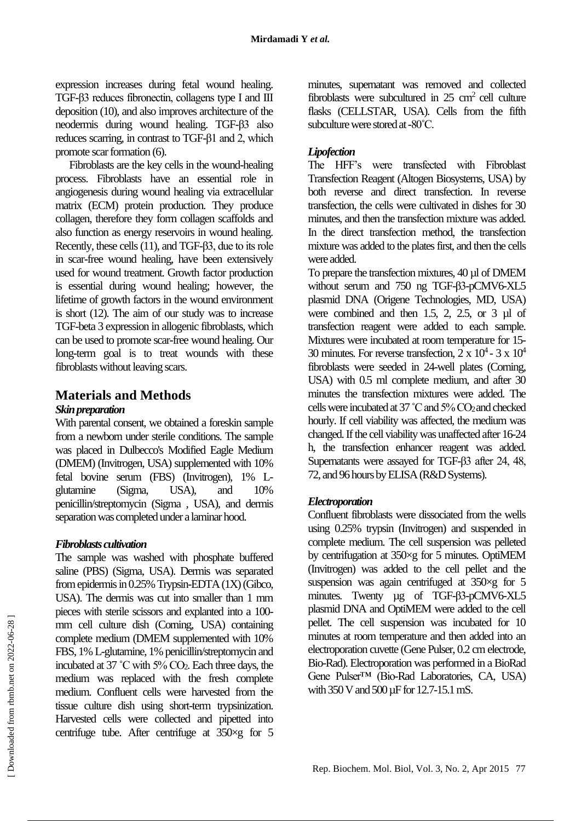expression increases during fetal wound healing. TGF-β3 reduces fibronectin, collagens type I and III deposition (10), and also improves architecture of the neodermis during wound healing. TGF-β3 also reduces scarring, in contrast to TGF-β1 and 2, which promote scar formation (6).

Fibroblasts are the key cells in the wound-healing process. Fibroblasts have an essential role in angiogenesis during wound healing via extracellular matrix (ECM) protein production. They produce collagen, therefore they form collagen scaffolds and also function as energy reservoirs in wound healing. Recently, these cells (11), and TGF-β3, due to its role in scar-free wound healing, have been extensively used for wound treatment. Growth factor production is essential during wound healing; however, the lifetime of growth factors in the wound environment is short (12). The aim of our study was to increase TGF-beta 3 expression in allogenic fibroblasts, which can be used to promote scar-free wound healing. Our long-term goal is to treat wounds with these fibroblasts without leaving scars.

# **Materials and Methods**

## *Skin preparation*

With parental consent, we obtained a foreskin sample from a newborn under sterile conditions. The sample was placed in Dulbecco's Modified Eagle Medium (DMEM) (Invitrogen, USA) supplemented with 10% fetal bovine serum (FBS) (Invitrogen), 1% Lglutamine (Sigma, USA), and 10% penicillin/streptomycin (Sigma , USA), and dermis separation was completed under a laminar hood.

# *Fibroblasts cultivation*

The sample was washed with phosphate buffered saline (PBS) (Sigma, USA). Dermis was separated from epidermis in 0.25% Trypsin-EDTA (1X) (Gibco, USA). The dermis was cut into smaller than 1 mm pieces with sterile scissors and explanted into a 100 mm cell culture dish (Corning, USA) containing complete medium (DMEM supplemented with 10% FBS, 1% L-glutamine, 1% penicillin/streptomycin and incubated at 37 ˚C with 5% CO2. Each three days, the medium was replaced with the fresh complete medium. Confluent cells were harvested from the tissue culture dish using short-term trypsinization. Harvested cells were collected and pipetted into centrifuge tube. After centrifuge at 350×g for 5

minutes, supernatant was removed and collected fibroblasts were subcultured in  $25 \text{ cm}^2$  cell culture flasks (CELLSTAR, USA). Cells from the fifth subculture were stored at -80˚C.

# *Lipofection*

The HFF's were transfected with Fibroblast Transfection Reagent (Altogen Biosystems, USA) by both reverse and direct transfection. In reverse transfection, the cells were cultivated in dishes for 30 minutes, and then the transfection mixture was added. In the direct transfection method, the transfection mixture was added to the plates first, and then the cells were added.

To prepare the transfection mixtures, 40 µl of DMEM without serum and 750 ng TGF-β3-pCMV6-XL5 plasmid DNA (Origene Technologies, MD, USA) were combined and then 1.5, 2, 2.5, or 3 µl of transfection reagent were added to each sample. Mixtures were incubated at room temperature for 15- 30 minutes. For reverse transfection,  $2 \times 10^4$  -  $3 \times 10^4$ fibroblasts were seeded in 24-well plates (Corning, USA) with 0.5 ml complete medium, and after 30 minutes the transfection mixtures were added. The cells were incubated at 37˚C and 5% CO2 and checked hourly. If cell viability was affected, the medium was changed. If the cell viability was unaffected after 16-24 h, the transfection enhancer reagent was added. Supernatants were assayed for TGF-β3 after 24, 48, 72, and 96 hours by ELISA (R&D Systems).

# *Electroporation*

Confluent fibroblasts were dissociated from the wells using 0.25% trypsin (Invitrogen) and suspended in complete medium. The cell suspension was pelleted by centrifugation at 350×g for 5 minutes. OptiMEM (Invitrogen) was added to the cell pellet and the suspension was again centrifuged at 350×g for 5 minutes. Twenty µg of TGF-β3-pCMV6-XL5 plasmid DNA and OptiMEM were added to the cell pellet. The cell suspension was incubated for 10 minutes at room temperature and then added into an electroporation cuvette (Gene Pulser, 0.2 cm electrode, Bio-Rad). Electroporation was performed in a BioRad Gene Pulser™ (Bio-Rad Laboratories, CA, USA) with 350 V and 500 µF for 12.7-15.1 mS.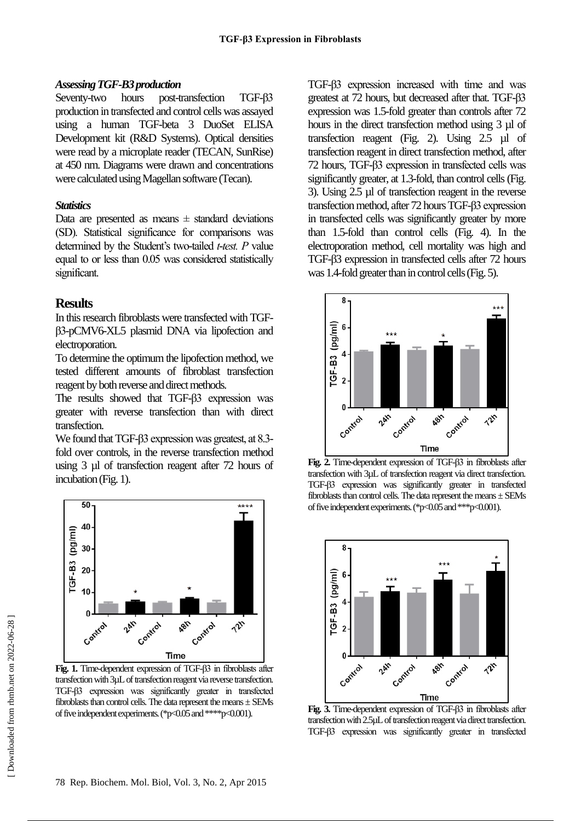#### *Assessing TGF-B3 production*

Seventy-two hours post-transfection TGF-β3 production in transfected and control cells was assayed using a human TGF-beta 3 DuoSet ELISA Development kit (R&D Systems). Optical densities were read by a microplate reader (TECAN, SunRise) at 450 nm. Diagrams were drawn and concentrations were calculated using Magellan software (Tecan).

#### *Statistics*

Data are presented as means  $\pm$  standard deviations (SD). Statistical significance for comparisons was determined by the Student's two-tailed *t-test. P* value equal to or less than 0.05 was considered statistically significant.

# **Results**

In this research fibroblasts were transfected with TGFβ3-pCMV6-XL5 plasmid DNA via lipofection and electroporation.

To determine the optimum the lipofection method, we tested different amounts of fibroblast transfection reagent by both reverse and direct methods.

The results showed that TGF-β3 expression was greater with reverse transfection than with direct transfection.

We found that TGF-β3 expression was greatest, at 8.3 fold over controls, in the reverse transfection method using 3 µl of transfection reagent after 72 hours of incubation (Fig. 1).



**Fig. 1.** Time-dependent expression of TGF-β3 in fibroblasts after transfection with 3µL of transfection reagent via reverse transfection. TGF-β3 expression was significantly greater in transfected fibroblasts than control cells. The data represent the means ± SEMs of five independent experiments. (\*p<0.05 and \*\*\*\*p<0.001).

TGF-β3 expression increased with time and was greatest at 72 hours, but decreased after that. TGF-β3 expression was 1.5-fold greater than controls after 72 hours in the direct transfection method using 3 µl of transfection reagent (Fig. 2). Using 2.5 µl of transfection reagent in direct transfection method, after 72 hours, TGF-β3 expression in transfected cells was significantly greater, at 1.3-fold, than control cells (Fig. 3). Using 2.5 µl of transfection reagent in the reverse transfection method, after 72 hours TGF-β3 expression in transfected cells was significantly greater by more than 1.5-fold than control cells (Fig. 4). In the electroporation method, cell mortality was high and TGF-β3 expression in transfected cells after 72 hours was 1.4-fold greater than in control cells (Fig. 5).



**Fig. 2.** Time-dependent expression of TGF-β3 in fibroblasts after transfection with 3µL of transfection reagent via direct transfection. TGF-β3 expression was significantly greater in transfected fibroblasts than control cells. The data represent the means  $\pm$  SEMs of five independent experiments. (\*p<0.05 and \*\*\*p<0.001).



**Fig. 3.** Time-dependent expression of TGF-β3 in fibroblasts after transfection with 2.5µL of transfection reagent via direct transfection. TGF-β3 expression was significantly greater in transfected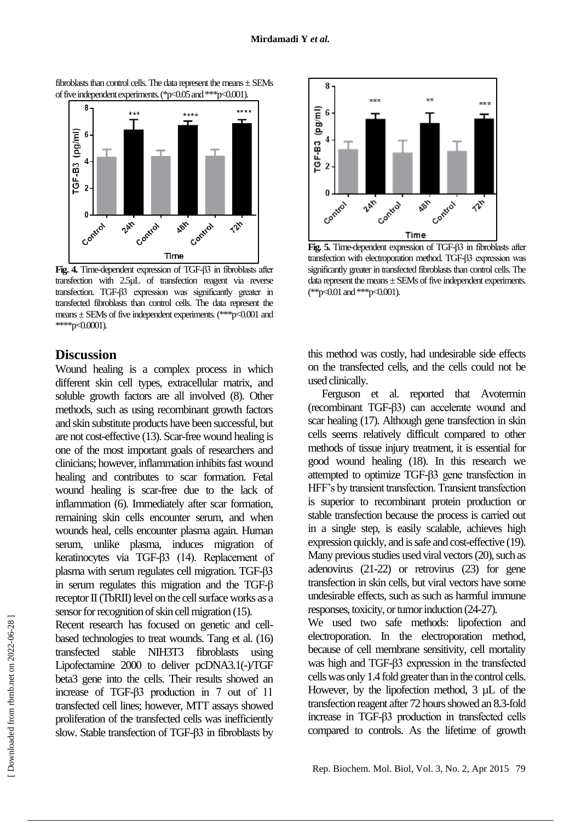

fibroblasts than control cells. The data represent the means ± SEMs of five independent experiments. (\*p<0.05 and \*\*\*p<0.001).

**Fig. 4.** Time-dependent expression of TGF-β3 in fibroblasts after transfection with 2.5µL of transfection reagent via reverse transfection. TGF-β3 expression was significantly greater in transfected fibroblasts than control cells. The data represent the means  $\pm$  SEMs of five independent experiments. (\*\*\*p<0.001 and

## **Discussion**

\*\*\*\*p<0.0001).

Wound healing is a complex process in which different skin cell types, extracellular matrix, and soluble growth factors are all involved (8). Other methods, such as using recombinant growth factors and skin substitute products have been successful, but are not cost-effective (13). Scar-free wound healing is one of the most important goals of researchers and clinicians; however, inflammation inhibits fast wound healing and contributes to scar formation. Fetal wound healing is scar-free due to the lack of inflammation (6). Immediately after scar formation, remaining skin cells encounter serum, and when wounds heal, cells encounter plasma again. Human serum, unlike plasma, induces migration of keratinocytes via TGF-β3 (14). Replacement of plasma with serum regulates cell migration. TGF-β3 in serum regulates this migration and the TGF-β receptor II (TbRII) level on the cell surface works as a sensor for recognition of skin cell migration (15).

Recent research has focused on genetic and cellbased technologies to treat wounds. Tang et al. (16) transfected stable NIH3T3 fibroblasts using Lipofectamine 2000 to deliver pcDNA3.1(-)/TGF beta3 gene into the cells. Their results showed an increase of TGF-β3 production in 7 out of 11 transfected cell lines; however, MTT assays showed proliferation of the transfected cells was inefficiently slow. Stable transfection of TGF-β3 in fibroblasts by



**Fig. 5.** Time-dependent expression of TGF-β3 in fibroblasts after transfection with electroporation method. TGF-β3 expression was significantly greater in transfected fibroblasts than control cells. The data represent the means  $\pm$  SEMs of five independent experiments. (\*\*p<0.01 and \*\*\*p<0.001).

this method was costly, had undesirable side effects on the transfected cells, and the cells could not be used clinically.

Ferguson et al. reported that Avotermin (recombinant TGF-β3) can accelerate wound and scar healing (17). Although gene transfection in skin cells seems relatively difficult compared to other methods of tissue injury treatment, it is essential for good wound healing (18). In this research we attempted to optimize TGF-β3 gene transfection in HFF's by transient transfection. Transient transfection is superior to recombinant protein production or stable transfection because the process is carried out in a single step, is easily scalable, achieves high expression quickly, and is safe and cost-effective (19). Many previous studies used viral vectors (20), such as adenovirus (21-22) or retrovirus (23) for gene transfection in skin cells, but viral vectors have some undesirable effects, such as such as harmful immune responses, toxicity, or tumor induction (24-27).

We used two safe methods: lipofection and electroporation. In the electroporation method, because of cell membrane sensitivity, cell mortality was high and TGF-β3 expression in the transfected cells was only 1.4 fold greater than in the control cells. However, by the lipofection method, 3  $\mu$ L of the transfection reagent after 72 hours showed an 8.3-fold increase in TGF-β3 production in transfected cells compared to controls. As the lifetime of growth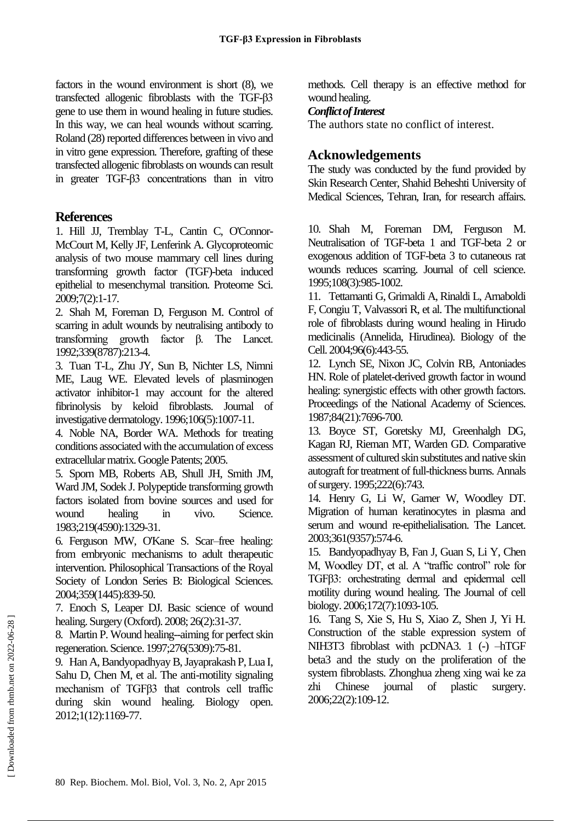factors in the wound environment is short (8), we transfected allogenic fibroblasts with the TGF-β3 gene to use them in wound healing in future studies. In this way, we can heal wounds without scarring. Roland (28) reported differences between in vivo and in vitro gene expression. Therefore, grafting of these transfected allogenic fibroblasts on wounds can result in greater TGF-β3 concentrations than in vitro

# **References**

1. Hill JJ, Tremblay T-L, Cantin C, O'Connor-McCourt M, Kelly JF, Lenferink A. Glycoproteomic analysis of two mouse mammary cell lines during transforming growth factor (TGF)-beta induced epithelial to mesenchymal transition. Proteome Sci. 2009;7(2):1-17.

2. Shah M, Foreman D, Ferguson M. Control of scarring in adult wounds by neutralising antibody to transforming growth factor β. The Lancet. 1992;339(8787):213-4.

3. Tuan T-L, Zhu JY, Sun B, Nichter LS, Nimni ME, Laug WE. Elevated levels of plasminogen activator inhibitor-1 may account for the altered fibrinolysis by keloid fibroblasts. Journal of investigative dermatology. 1996;106(5):1007-11.

4. Noble NA, Border WA. Methods for treating conditions associated with the accumulation of excess extracellular matrix. Google Patents; 2005.

5. Sporn MB, Roberts AB, Shull JH, Smith JM, Ward JM, Sodek J. Polypeptide transforming growth factors isolated from bovine sources and used for wound healing in vivo. Science. 1983;219(4590):1329-31.

6. Ferguson MW, O'Kane S. Scar–free healing: from embryonic mechanisms to adult therapeutic intervention. Philosophical Transactions of the Royal Society of London Series B: Biological Sciences. 2004;359(1445):839-50.

7. Enoch S, Leaper DJ. Basic science of wound healing. Surgery (Oxford). 2008; 26(2):31-37.

8. Martin P. Wound healing--aiming for perfect skin regeneration. Science. 1997;276(5309):75-81.

9. Han A, Bandyopadhyay B, Jayaprakash P, Lua I, Sahu D, Chen M, et al. The anti-motility signaling mechanism of TGFβ3 that controls cell traffic during skin wound healing. Biology open. 2012;1(12):1169-77.

methods. Cell therapy is an effective method for wound healing.

# *Conflict of Interest*

The authors state no conflict of interest.

# **Acknowledgements**

The study was conducted by the fund provided by Skin Research Center, Shahid Beheshti University of Medical Sciences, Tehran, Iran, for research affairs.

10. Shah M, Foreman DM, Ferguson M. Neutralisation of TGF-beta 1 and TGF-beta 2 or exogenous addition of TGF-beta 3 to cutaneous rat wounds reduces scarring. Journal of cell science. 1995;108(3):985-1002.

11. Tettamanti G, Grimaldi A, Rinaldi L, Arnaboldi F, Congiu T, Valvassori R, et al. The multifunctional role of fibroblasts during wound healing in Hirudo medicinalis (Annelida, Hirudinea). Biology of the Cell. 2004;96(6):443-55.

12. Lynch SE, Nixon JC, Colvin RB, Antoniades HN. Role of platelet-derived growth factor in wound healing: synergistic effects with other growth factors. Proceedings of the National Academy of Sciences. 1987;84(21):7696-700.

13. Boyce ST, Goretsky MJ, Greenhalgh DG, Kagan RJ, Rieman MT, Warden GD. Comparative assessment of cultured skin substitutes and native skin autograft for treatment of full-thickness burns. Annals of surgery. 1995;222(6):743.

14. Henry G, Li W, Garner W, Woodley DT. Migration of human keratinocytes in plasma and serum and wound re-epithelialisation. The Lancet. 2003;361(9357):574-6.

15. Bandyopadhyay B, Fan J, Guan S, Li Y, Chen M, Woodley DT, et al. A "traffic control" role for TGFβ3: orchestrating dermal and epidermal cell motility during wound healing. The Journal of cell biology. 2006;172(7):1093-105.

16. Tang S, Xie S, Hu S, Xiao Z, Shen J, Yi H. Construction of the stable expression system of NIH3T3 fibroblast with pcDNA3. 1 (-) –hTGF beta3 and the study on the proliferation of the system fibroblasts. Zhonghua zheng xing wai ke za zhi Chinese journal of plastic surgery. 2006;22(2):109-12.